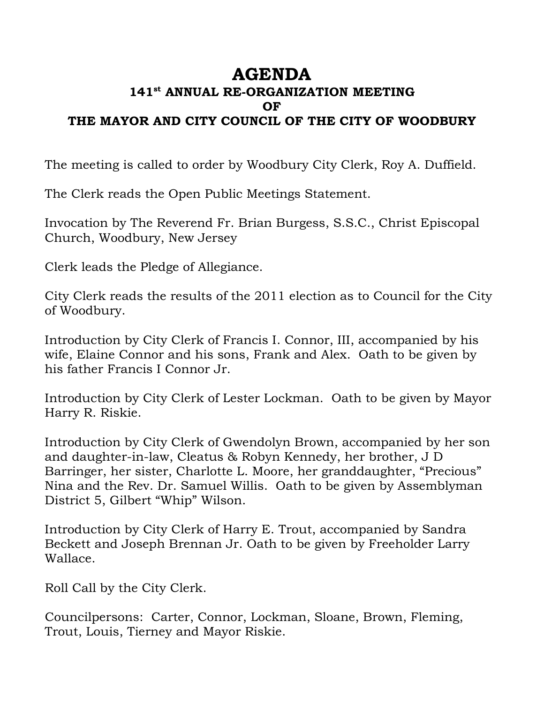## **AGENDA**

## **141st ANNUAL RE-ORGANIZATION MEETING OF THE MAYOR AND CITY COUNCIL OF THE CITY OF WOODBURY**

The meeting is called to order by Woodbury City Clerk, Roy A. Duffield.

The Clerk reads the Open Public Meetings Statement.

Invocation by The Reverend Fr. Brian Burgess, S.S.C., Christ Episcopal Church, Woodbury, New Jersey

Clerk leads the Pledge of Allegiance.

City Clerk reads the results of the 2011 election as to Council for the City of Woodbury.

Introduction by City Clerk of Francis I. Connor, III, accompanied by his wife, Elaine Connor and his sons, Frank and Alex. Oath to be given by his father Francis I Connor Jr.

Introduction by City Clerk of Lester Lockman. Oath to be given by Mayor Harry R. Riskie.

Introduction by City Clerk of Gwendolyn Brown, accompanied by her son and daughter-in-law, Cleatus & Robyn Kennedy, her brother, J D Barringer, her sister, Charlotte L. Moore, her granddaughter, "Precious" Nina and the Rev. Dr. Samuel Willis. Oath to be given by Assemblyman District 5, Gilbert "Whip" Wilson.

Introduction by City Clerk of Harry E. Trout, accompanied by Sandra Beckett and Joseph Brennan Jr. Oath to be given by Freeholder Larry Wallace.

Roll Call by the City Clerk.

Councilpersons: Carter, Connor, Lockman, Sloane, Brown, Fleming, Trout, Louis, Tierney and Mayor Riskie.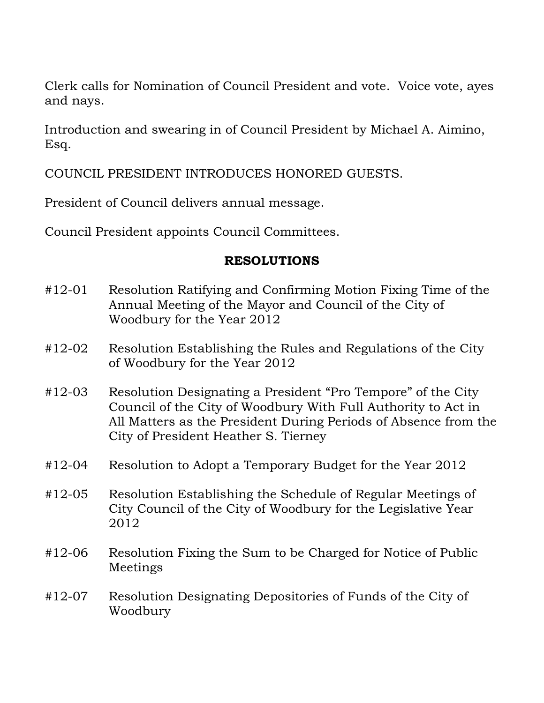Clerk calls for Nomination of Council President and vote. Voice vote, ayes and nays.

Introduction and swearing in of Council President by Michael A. Aimino, Esq.

COUNCIL PRESIDENT INTRODUCES HONORED GUESTS.

President of Council delivers annual message.

Council President appoints Council Committees.

## **RESOLUTIONS**

- #12-01 Resolution Ratifying and Confirming Motion Fixing Time of the Annual Meeting of the Mayor and Council of the City of Woodbury for the Year 2012
- #12-02 Resolution Establishing the Rules and Regulations of the City of Woodbury for the Year 2012
- #12-03 Resolution Designating a President "Pro Tempore" of the City Council of the City of Woodbury With Full Authority to Act in All Matters as the President During Periods of Absence from the City of President Heather S. Tierney
- #12-04 Resolution to Adopt a Temporary Budget for the Year 2012
- #12-05 Resolution Establishing the Schedule of Regular Meetings of City Council of the City of Woodbury for the Legislative Year 2012
- #12-06 Resolution Fixing the Sum to be Charged for Notice of Public Meetings
- #12-07 Resolution Designating Depositories of Funds of the City of Woodbury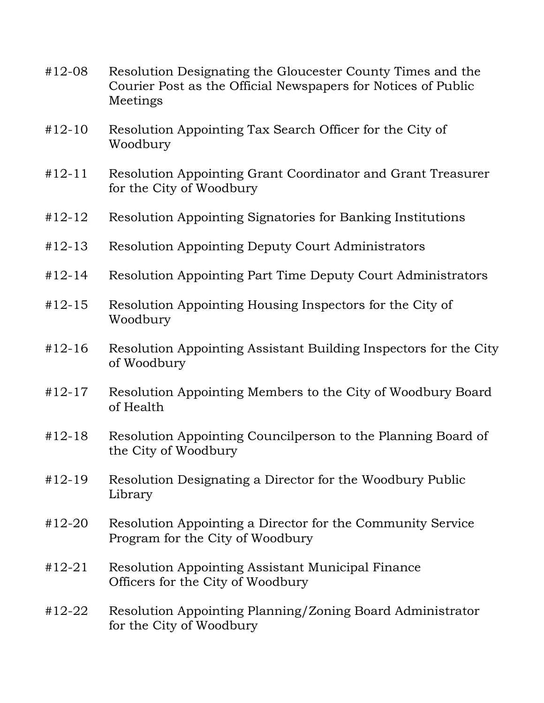- #12-08 Resolution Designating the Gloucester County Times and the Courier Post as the Official Newspapers for Notices of Public Meetings
- #12-10 Resolution Appointing Tax Search Officer for the City of Woodbury
- #12-11 Resolution Appointing Grant Coordinator and Grant Treasurer for the City of Woodbury
- #12-12 Resolution Appointing Signatories for Banking Institutions
- #12-13 Resolution Appointing Deputy Court Administrators
- #12-14 Resolution Appointing Part Time Deputy Court Administrators
- #12-15 Resolution Appointing Housing Inspectors for the City of Woodbury
- #12-16 Resolution Appointing Assistant Building Inspectors for the City of Woodbury
- #12-17 Resolution Appointing Members to the City of Woodbury Board of Health
- #12-18 Resolution Appointing Councilperson to the Planning Board of the City of Woodbury
- #12-19 Resolution Designating a Director for the Woodbury Public Library
- #12-20 Resolution Appointing a Director for the Community Service Program for the City of Woodbury
- #12-21 Resolution Appointing Assistant Municipal Finance Officers for the City of Woodbury
- #12-22 Resolution Appointing Planning/Zoning Board Administrator for the City of Woodbury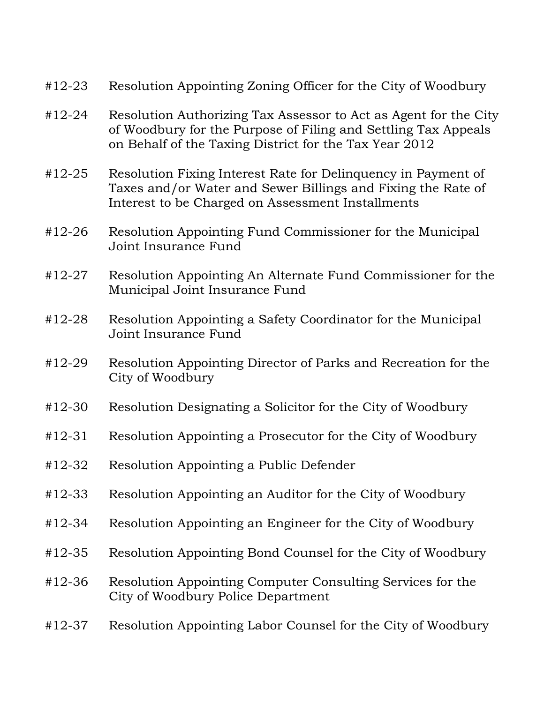- #12-23 Resolution Appointing Zoning Officer for the City of Woodbury
- #12-24 Resolution Authorizing Tax Assessor to Act as Agent for the City of Woodbury for the Purpose of Filing and Settling Tax Appeals on Behalf of the Taxing District for the Tax Year 2012
- #12-25 Resolution Fixing Interest Rate for Delinquency in Payment of Taxes and/or Water and Sewer Billings and Fixing the Rate of Interest to be Charged on Assessment Installments
- #12-26 Resolution Appointing Fund Commissioner for the Municipal Joint Insurance Fund
- #12-27 Resolution Appointing An Alternate Fund Commissioner for the Municipal Joint Insurance Fund
- #12-28 Resolution Appointing a Safety Coordinator for the Municipal Joint Insurance Fund
- #12-29 Resolution Appointing Director of Parks and Recreation for the City of Woodbury
- #12-30 Resolution Designating a Solicitor for the City of Woodbury
- #12-31 Resolution Appointing a Prosecutor for the City of Woodbury
- #12-32 Resolution Appointing a Public Defender
- #12-33 Resolution Appointing an Auditor for the City of Woodbury
- #12-34 Resolution Appointing an Engineer for the City of Woodbury
- #12-35 Resolution Appointing Bond Counsel for the City of Woodbury
- #12-36 Resolution Appointing Computer Consulting Services for the City of Woodbury Police Department
- #12-37 Resolution Appointing Labor Counsel for the City of Woodbury